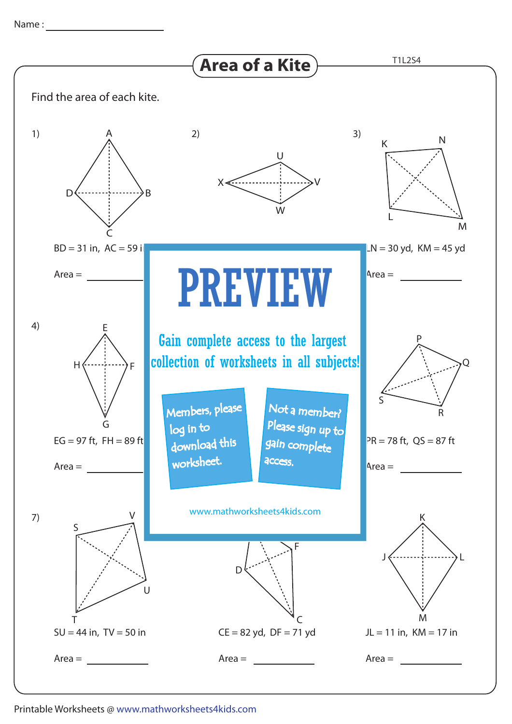